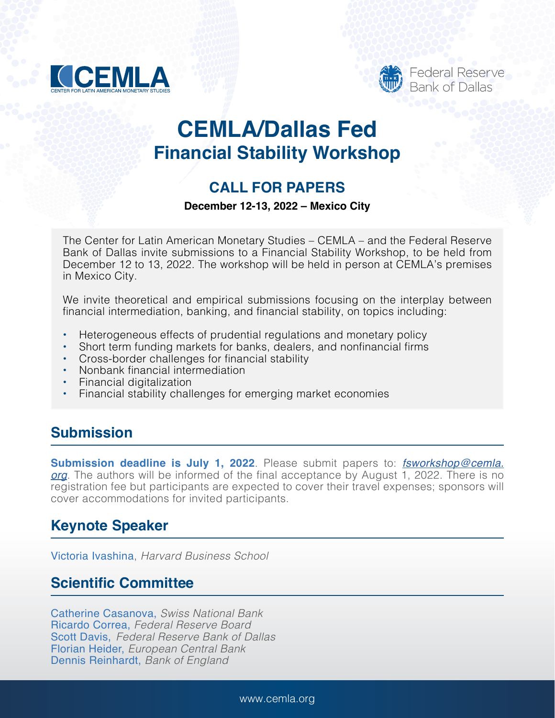



# **CEMLA/Dallas Fed Financial Stability Workshop**

# **CALL FOR PAPERS**

#### **December 12-13, 2022 – Mexico City**

The Center for Latin American Monetary Studies – CEMLA – and the Federal Reserve Bank of Dallas invite submissions to a Financial Stability Workshop, to be held from December 12 to 13, 2022. The workshop will be held in person at CEMLA's premises in Mexico City.

We invite theoretical and empirical submissions focusing on the interplay between financial intermediation, banking, and financial stability, on topics including:

- Heterogeneous effects of prudential regulations and monetary policy
- Short term funding markets for banks, dealers, and nonfinancial firms
- Cross-border challenges for financial stability
- Nonbank financial intermediation
- Financial digitalization
- Financial stability challenges for emerging market economies

#### **Submission**

**Submission deadline is July 1, 2022**. Please submit papers to: *[fsworkshop@cemla.](mailto:fsworkshop%40cemla.org?subject=) [org](mailto:fsworkshop%40cemla.org?subject=)*. The authors will be informed of the final acceptance by August 1, 2022. There is no registration fee but participants are expected to cover their travel expenses; sponsors will cover accommodations for invited participants.

### **Keynote Speaker**

Victoria Ivashina, *Harvard Business School*

### **Scientific Committee**

Catherine Casanova, *Swiss National Bank*  Ricardo Correa, *Federal Reserve Board* Scott Davis, *Federal Reserve Bank of Dallas* Florian Heider, *European Central Bank* Dennis Reinhardt, *Bank of England*